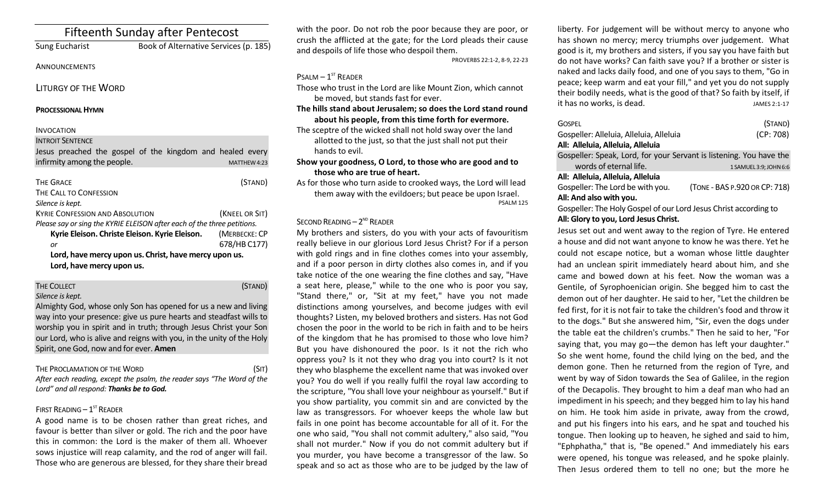# Fifteenth Sunday after Pentecost

Sung Eucharist Book of Alternative Services (p. 185)

## ANNOUNCEMENTS

LITURGY OF THE WORD

### **PROCESSIONAL HYMN**

## INVOCATION

#### INTROIT SENTENCE

Jesus preached the gospel of the kingdom and healed every  $\frac{1}{2}$  infirmity among the people.

| <b>THE GRACE</b>                                                        | (STAND)        |  |  |
|-------------------------------------------------------------------------|----------------|--|--|
| THE CALL TO CONFESSION                                                  |                |  |  |
| Silence is kept.                                                        |                |  |  |
| <b>KYRIE CONFESSION AND ABSOLUTION</b>                                  | (KNEEL OR SIT) |  |  |
| Please say or sing the KYRIE ELEISON after each of the three petitions. |                |  |  |
| Kyrie Eleison. Christe Eleison. Kyrie Eleison.                          | (MERBECKE: CP  |  |  |
| or                                                                      | 678/HB C177)   |  |  |
| Lord, have mercy upon us. Christ, have mercy upon us.                   |                |  |  |
| Lord, have mercy upon us.                                               |                |  |  |

## THE COLLECT **THE COLLECT COLLECT COLLECT COLLECT COLLECT COLLECT COLLECT COLLECT** *Silence is kept.* Almighty God, whose only Son has opened for us a new and living

way into your presence: give us pure hearts and steadfast wills to worship you in spirit and in truth; through Jesus Christ your Son our Lord, who is alive and reigns with you, in the unity of the Holy Spirit, one God, now and for ever. **Amen**

THE PROCLAMATION OF THE WORD (SIT) *After each reading, except the psalm, the reader says "The Word of the Lord" and all respond: Thanks be to God.* 

## FIRST READING  $-1^\text{ST}$  READER

A good name is to be chosen rather than great riches, and favour is better than silver or gold. The rich and the poor have this in common: the Lord is the maker of them all. Whoever sows injustice will reap calamity, and the rod of anger will fail. Those who are generous are blessed, for they share their bread

with the poor. Do not rob the poor because they are poor, or crush the afflicted at the gate; for the Lord pleads their cause and despoils of life those who despoil them.

PROVERBS 22:1-2, 8-9, 22-23

## $P$ SALM  $-1$ <sup>ST</sup> READER

Those who trust in the Lord are like Mount Zion, which cannot be moved, but stands fast for ever.

## **The hills stand about Jerusalem; so does the Lord stand round about his people, from this time forth for evermore.**

The sceptre of the wicked shall not hold sway over the land allotted to the just, so that the just shall not put their hands to evil.

## **Show your goodness, O Lord, to those who are good and to those who are true of heart.**

As for those who turn aside to crooked ways, the Lord will lead them away with the evildoers; but peace be upon Israel. PSALM 125

## SECOND READING  $-2^{ND}$  READER

My brothers and sisters, do you with your acts of favouritism really believe in our glorious Lord Jesus Christ? For if a person with gold rings and in fine clothes comes into your assembly, and if a poor person in dirty clothes also comes in, and if you take notice of the one wearing the fine clothes and say, "Have a seat here, please," while to the one who is poor you say, "Stand there," or, "Sit at my feet," have you not made distinctions among yourselves, and become judges with evil thoughts? Listen, my beloved brothers and sisters. Has not God chosen the poor in the world to be rich in faith and to be heirs of the kingdom that he has promised to those who love him? But you have dishonoured the poor. Is it not the rich who oppress you? Is it not they who drag you into court? Is it not they who blaspheme the excellent name that was invoked over you? You do well if you really fulfil the royal law according to the scripture, "You shall love your neighbour as yourself." But if you show partiality, you commit sin and are convicted by the law as transgressors. For whoever keeps the whole law but fails in one point has become accountable for all of it. For the one who said, "You shall not commit adultery," also said, "You shall not murder." Now if you do not commit adultery but if you murder, you have become a transgressor of the law. So speak and so act as those who are to be judged by the law of liberty. For judgement will be without mercy to anyone who has shown no mercy; mercy triumphs over judgement. What good is it, my brothers and sisters, if you say you have faith but do not have works? Can faith save you? If a brother or sister is naked and lacks daily food, and one of you says to them, "Go in peace; keep warm and eat your fill," and yet you do not supply their bodily needs, what is the good of that? So faith by itself, if it has no works, is dead. In the same set of the set of the set of the set of the set of the set of the set of t

| <b>GOSPEL</b>                                                       | (STAND)                       |  |
|---------------------------------------------------------------------|-------------------------------|--|
| Gospeller: Alleluia, Alleluia, Alleluia                             | (CP: 708)                     |  |
| All: Alleluia, Alleluia, Alleluia                                   |                               |  |
| Gospeller: Speak, Lord, for your Servant is listening. You have the |                               |  |
| words of eternal life.                                              | 1 SAMUEL 3:9; JOHN 6:6        |  |
| All: Alleluia, Alleluia, Alleluia                                   |                               |  |
| Gospeller: The Lord be with you.                                    | (TONE - BAS P.920 OR CP: 718) |  |
| All: And also with you.                                             |                               |  |

Gospeller: The Holy Gospel of our Lord Jesus Christ according to **All: Glory to you, Lord Jesus Christ.**

Jesus set out and went away to the region of Tyre. He entered a house and did not want anyone to know he was there. Yet he could not escape notice, but a woman whose little daughter had an unclean spirit immediately heard about him, and she came and bowed down at his feet. Now the woman was a Gentile, of Syrophoenician origin. She begged him to cast the demon out of her daughter. He said to her, "Let the children be fed first, for it is not fair to take the children's food and throw it to the dogs." But she answered him, "Sir, even the dogs under the table eat the children's crumbs." Then he said to her, "For saying that, you may go—the demon has left your daughter." So she went home, found the child lying on the bed, and the demon gone. Then he returned from the region of Tyre, and went by way of Sidon towards the Sea of Galilee, in the region of the Decapolis. They brought to him a deaf man who had an impediment in his speech; and they begged him to lay his hand on him. He took him aside in private, away from the crowd, and put his fingers into his ears, and he spat and touched his tongue. Then looking up to heaven, he sighed and said to him, "Ephphatha," that is, "Be opened." And immediately his ears were opened, his tongue was released, and he spoke plainly. Then Jesus ordered them to tell no one; but the more he